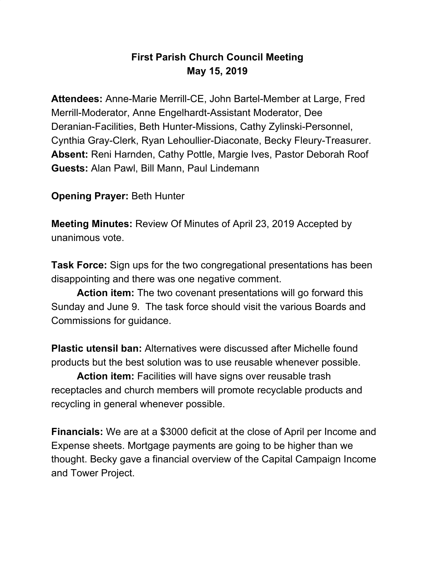## **First Parish Church Council Meeting May 15, 2019**

**Attendees:** Anne-Marie Merrill-CE, John Bartel-Member at Large, Fred Merrill-Moderator, Anne Engelhardt-Assistant Moderator, Dee Deranian-Facilities, Beth Hunter-Missions, Cathy Zylinski-Personnel, Cynthia Gray-Clerk, Ryan Lehoullier-Diaconate, Becky Fleury-Treasurer. **Absent:** Reni Harnden, Cathy Pottle, Margie Ives, Pastor Deborah Roof **Guests:** Alan Pawl, Bill Mann, Paul Lindemann

**Opening Prayer:** Beth Hunter

**Meeting Minutes:** Review Of Minutes of April 23, 2019 Accepted by unanimous vote.

**Task Force:** Sign ups for the two congregational presentations has been disappointing and there was one negative comment.

**Action item:** The two covenant presentations will go forward this Sunday and June 9. The task force should visit the various Boards and Commissions for guidance.

**Plastic utensil ban:** Alternatives were discussed after Michelle found products but the best solution was to use reusable whenever possible.

**Action item:** Facilities will have signs over reusable trash receptacles and church members will promote recyclable products and recycling in general whenever possible.

**Financials:** We are at a \$3000 deficit at the close of April per Income and Expense sheets. Mortgage payments are going to be higher than we thought. Becky gave a financial overview of the Capital Campaign Income and Tower Project.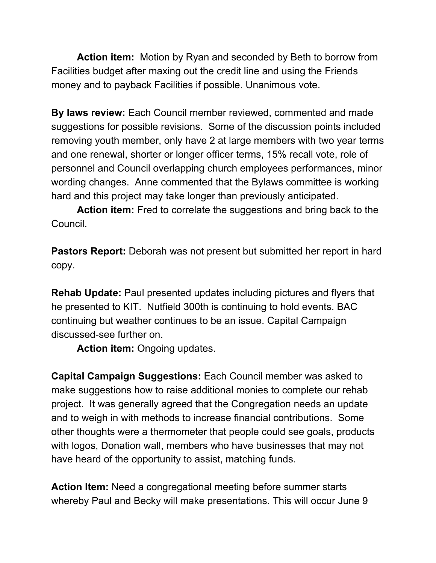**Action item:** Motion by Ryan and seconded by Beth to borrow from Facilities budget after maxing out the credit line and using the Friends money and to payback Facilities if possible. Unanimous vote.

**By laws review:** Each Council member reviewed, commented and made suggestions for possible revisions. Some of the discussion points included removing youth member, only have 2 at large members with two year terms and one renewal, shorter or longer officer terms, 15% recall vote, role of personnel and Council overlapping church employees performances, minor wording changes. Anne commented that the Bylaws committee is working hard and this project may take longer than previously anticipated.

**Action item:** Fred to correlate the suggestions and bring back to the Council.

**Pastors Report:** Deborah was not present but submitted her report in hard copy.

**Rehab Update:** Paul presented updates including pictures and flyers that he presented to KIT. Nutfield 300th is continuing to hold events. BAC continuing but weather continues to be an issue. Capital Campaign discussed-see further on.

**Action item:** Ongoing updates.

**Capital Campaign Suggestions:** Each Council member was asked to make suggestions how to raise additional monies to complete our rehab project. It was generally agreed that the Congregation needs an update and to weigh in with methods to increase financial contributions. Some other thoughts were a thermometer that people could see goals, products with logos, Donation wall, members who have businesses that may not have heard of the opportunity to assist, matching funds.

**Action Item:** Need a congregational meeting before summer starts whereby Paul and Becky will make presentations. This will occur June 9